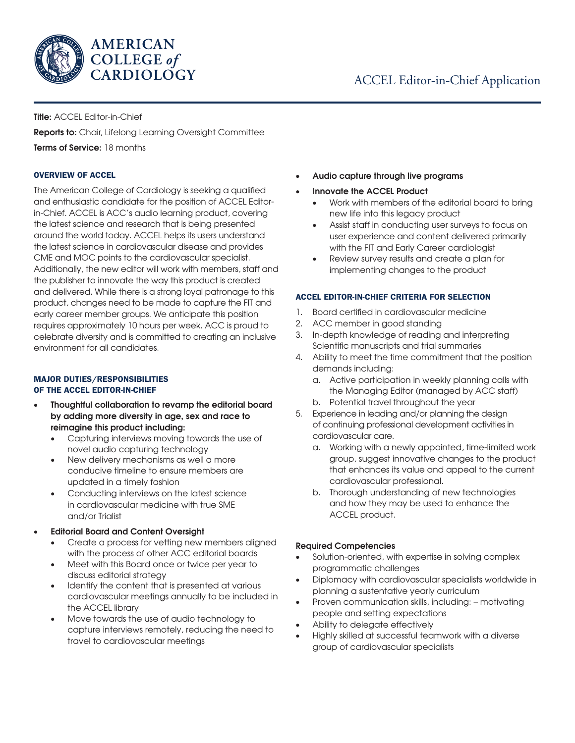

# ACCEL Editor-in-Chief Application

### Title: ACCEL Editor-in-Chief

Reports to: Chair, Lifelong Learning Oversight Committee Terms of Service: 18 months

### OVERVIEW OF ACCEL

The American College of Cardiology is seeking a qualified and enthusiastic candidate for the position of ACCEL Editorin-Chief. ACCEL is ACC's audio learning product, covering the latest science and research that is being presented around the world today. ACCEL helps its users understand the latest science in cardiovascular disease and provides CME and MOC points to the cardiovascular specialist. Additionally, the new editor will work with members, staff and the publisher to innovate the way this product is created and delivered. While there is a strong loyal patronage to this product, changes need to be made to capture the FIT and early career member groups. We anticipate this position requires approximately 10 hours per week. ACC is proud to celebrate diversity and is committed to creating an inclusive environment for all candidates.

### MAJOR DUTIES/RESPONSIBILITIES OF THE ACCEL EDITOR-IN-CHIEF

- Thoughtful collaboration to revamp the editorial board by adding more diversity in age, sex and race to reimagine this product including:
	- Capturing interviews moving towards the use of novel audio capturing technology
	- New delivery mechanisms as well a more conducive timeline to ensure members are updated in a timely fashion
	- Conducting interviews on the latest science in cardiovascular medicine with true SME and/or Trialist
- Editorial Board and Content Oversight
	- Create a process for vetting new members aligned with the process of other ACC editorial boards
	- Meet with this Board once or twice per year to discuss editorial strategy
	- Identify the content that is presented at various cardiovascular meetings annually to be included in the ACCEL library
	- Move towards the use of audio technology to capture interviews remotely, reducing the need to travel to cardiovascular meetings
- Audio capture through live programs
- Innovate the ACCEL Product
	- Work with members of the editorial board to bring new life into this legacy product
	- Assist staff in conducting user surveys to focus on user experience and content delivered primarily with the FIT and Early Career cardiologist
	- Review survey results and create a plan for implementing changes to the product

### ACCEL EDITOR-IN-CHIEF CRITERIA FOR SELECTION

- 1. Board certified in cardiovascular medicine
- 2. ACC member in good standing
- 3. In-depth knowledge of reading and interpreting Scientific manuscripts and trial summaries
- 4. Ability to meet the time commitment that the position demands including:
	- a. Active participation in weekly planning calls with the Managing Editor (managed by ACC staff)
	- b. Potential travel throughout the year
- 5. Experience in leading and/or planning the design of continuing professional development activities in cardiovascular care.
	- a. Working with a newly appointed, time-limited work group, suggest innovative changes to the product that enhances its value and appeal to the current cardiovascular professional.
	- b. Thorough understanding of new technologies and how they may be used to enhance the ACCEL product.

## Required Competencies

- Solution-oriented, with expertise in solving complex programmatic challenges
- Diplomacy with cardiovascular specialists worldwide in planning a sustentative yearly curriculum
- Proven communication skills, including: motivating people and setting expectations
- Ability to delegate effectively
- Highly skilled at successful teamwork with a diverse group of cardiovascular specialists